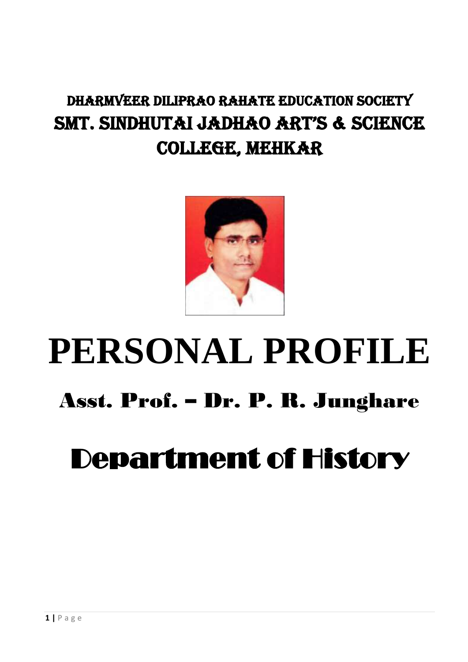### DHARMVEER DILIPRAO RAHATE EDUCATION SOCIETY SMT. SINDHUTAI JADHAO ART'S & SCIENCE COLLEGE, MEHKAR



# **PERSONAL PROFILE** Asst. Prof. – Dr. P. R. Junghare

## Department of History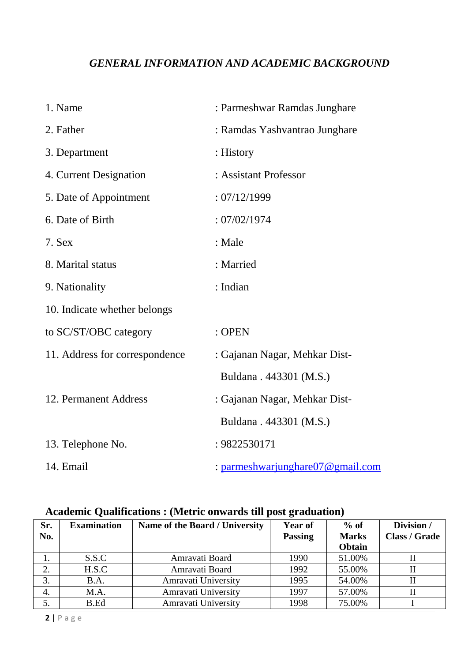#### *GENERAL INFORMATION AND ACADEMIC BACKGROUND*

| 1. Name                        | : Parmeshwar Ramdas Junghare     |
|--------------------------------|----------------------------------|
| 2. Father                      | : Ramdas Yashvantrao Junghare    |
| 3. Department                  | : History                        |
| 4. Current Designation         | : Assistant Professor            |
| 5. Date of Appointment         | : 07/12/1999                     |
| 6. Date of Birth               | :07/02/1974                      |
| 7. Sex                         | : Male                           |
| 8. Marital status              | : Married                        |
| 9. Nationality                 | : Indian                         |
| 10. Indicate whether belongs   |                                  |
| to SC/ST/OBC category          | : OPEN                           |
| 11. Address for correspondence | : Gajanan Nagar, Mehkar Dist-    |
|                                | Buldana . 443301 (M.S.)          |
| 12. Permanent Address          | : Gajanan Nagar, Mehkar Dist-    |
|                                | Buldana . 443301 (M.S.)          |
| 13. Telephone No.              | : 9822530171                     |
| 14. Email                      | : parmeshwarjunghare07@gmail.com |

#### **Academic Qualifications : (Metric onwards till post graduation)**

| Sr. | <b>Examination</b> | Name of the Board / University | <b>Year of</b> | $%$ of       | Division /           |
|-----|--------------------|--------------------------------|----------------|--------------|----------------------|
| No. |                    |                                | <b>Passing</b> | <b>Marks</b> | <b>Class / Grade</b> |
|     |                    |                                |                | Obtain       |                      |
|     | S.S.C              | Amravati Board                 | 1990           | 51.00%       |                      |
| 2.  | H.S.C              | Amravati Board                 | 1992           | 55.00%       |                      |
| 3.  | B.A.               | Amravati University            | 1995           | 54.00%       | П                    |
| 4.  | M.A.               | Amravati University            | 1997           | 57.00%       | Н                    |
|     | B.Ed               | Amravati University            | 1998           | 75.00%       |                      |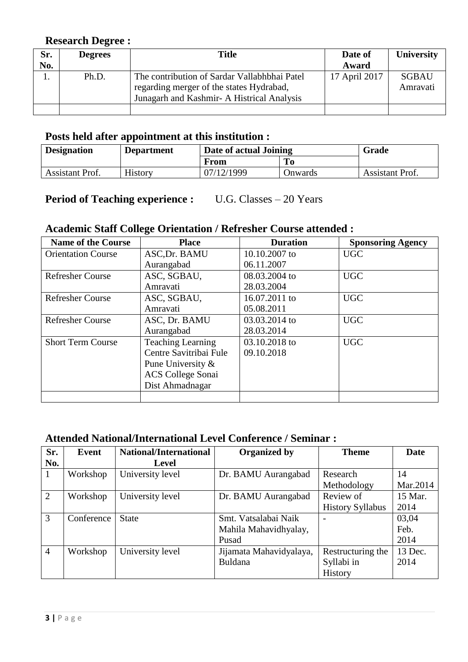#### **Research Degree :**

| Sr. | <b>Degrees</b> | <b>Title</b>                                 | Date of       | <b>University</b> |
|-----|----------------|----------------------------------------------|---------------|-------------------|
| No. |                |                                              | Award         |                   |
|     | Ph.D.          | The contribution of Sardar Vallabhbhai Patel | 17 April 2017 | <b>SGBAU</b>      |
|     |                | regarding merger of the states Hydrabad,     |               | Amravati          |
|     |                | Junagarh and Kashmir- A Histrical Analysis   |               |                   |
|     |                |                                              |               |                   |

#### **Posts held after appointment at this institution :**

| <b>Designation</b> | <b>Department</b> | Date of actual Joining |         | Grade           |
|--------------------|-------------------|------------------------|---------|-----------------|
|                    |                   | From                   |         |                 |
| Assistant Prof.    | <b>History</b>    | 07/12/1999             | Onwards | Assistant Prof. |

#### **Period of Teaching experience :** U.G. Classes – 20 Years

#### **Academic Staff College Orientation / Refresher Course attended :**

| <b>Name of the Course</b> | <b>Place</b>                   | <b>Duration</b> | <b>Sponsoring Agency</b> |
|---------------------------|--------------------------------|-----------------|--------------------------|
| <b>Orientation Course</b> | ASC, Dr. BAMU<br>10.10.2007 to |                 | <b>UGC</b>               |
|                           | Aurangabad                     | 06.11.2007      |                          |
| <b>Refresher Course</b>   | ASC, SGBAU,                    | 08.03.2004 to   | <b>UGC</b>               |
|                           | Amravati                       | 28.03.2004      |                          |
| <b>Refresher Course</b>   | ASC, SGBAU,                    | 16.07.2011 to   | <b>UGC</b>               |
|                           | Amravati                       | 05.08.2011      |                          |
| <b>Refresher Course</b>   | ASC, Dr. BAMU                  | 03.03.2014 to   | <b>UGC</b>               |
|                           | Aurangabad                     | 28.03.2014      |                          |
| <b>Short Term Course</b>  | <b>Teaching Learning</b>       | 03.10.2018 to   | <b>UGC</b>               |
|                           | Centre Savitribai Fule         | 09.10.2018      |                          |
| Pune University &         |                                |                 |                          |
|                           | <b>ACS College Sonai</b>       |                 |                          |
|                           | Dist Ahmadnagar                |                 |                          |
|                           |                                |                 |                          |

#### **Attended National/International Level Conference / Seminar :**

| Sr.            | Event      | <b>National/International</b> | <b>Organized by</b>     | <b>Theme</b>            | <b>Date</b> |
|----------------|------------|-------------------------------|-------------------------|-------------------------|-------------|
| No.            |            | <b>Level</b>                  |                         |                         |             |
| 1              | Workshop   | University level              | Dr. BAMU Aurangabad     | Research                | 14          |
|                |            |                               |                         | Methodology             | Mar.2014    |
| $\overline{2}$ | Workshop   | University level              | Dr. BAMU Aurangabad     | Review of               | 15 Mar.     |
|                |            |                               |                         | <b>History Syllabus</b> | 2014        |
| 3              | Conference | <b>State</b>                  | Smt. Vatsalabai Naik    |                         | 03,04       |
|                |            |                               | Mahila Mahavidhyalay,   |                         | Feb.        |
|                |            |                               | Pusad                   |                         | 2014        |
| $\overline{4}$ | Workshop   | University level              | Jijamata Mahavidyalaya, | Restructuring the       | 13 Dec.     |
|                |            |                               | Buldana                 | Syllabi in              | 2014        |
|                |            |                               |                         | History                 |             |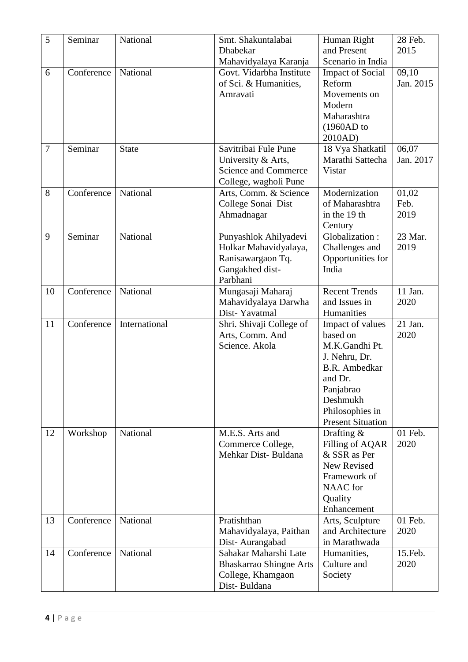| 5              | Seminar    | National      | Smt. Shakuntalabai             | Human Right              | 28 Feb.   |
|----------------|------------|---------------|--------------------------------|--------------------------|-----------|
|                |            |               | Dhabekar                       | and Present              | 2015      |
|                |            |               | Mahavidyalaya Karanja          | Scenario in India        |           |
| 6              | Conference | National      | Govt. Vidarbha Institute       | <b>Impact of Social</b>  | 09,10     |
|                |            |               | of Sci. & Humanities,          | Reform                   | Jan. 2015 |
|                |            |               | Amravati                       | Movements on             |           |
|                |            |               |                                | Modern                   |           |
|                |            |               |                                | Maharashtra              |           |
|                |            |               |                                | (1960AD to               |           |
|                |            |               |                                | 2010AD)                  |           |
| $\overline{7}$ | Seminar    | <b>State</b>  | Savitribai Fule Pune           | 18 Vya Shatkatil         | 06,07     |
|                |            |               | University & Arts,             | Marathi Sattecha         | Jan. 2017 |
|                |            |               | Science and Commerce           | Vistar                   |           |
|                |            |               | College, wagholi Pune          |                          |           |
| 8              | Conference | National      | Arts, Comm. & Science          | Modernization            | 01,02     |
|                |            |               | College Sonai Dist             | of Maharashtra           | Feb.      |
|                |            |               | Ahmadnagar                     | in the 19 th             | 2019      |
|                |            |               |                                | Century                  |           |
| 9              | Seminar    | National      | Punyashlok Ahilyadevi          | Globalization:           | 23 Mar.   |
|                |            |               | Holkar Mahavidyalaya,          | Challenges and           | 2019      |
|                |            |               | Ranisawargaon Tq.              | Opportunities for        |           |
|                |            |               | Gangakhed dist-                | India                    |           |
|                |            |               | Parbhani                       |                          |           |
| 10             | Conference | National      | Mungasaji Maharaj              | <b>Recent Trends</b>     | 11 Jan.   |
|                |            |               | Mahavidyalaya Darwha           | and Issues in            | 2020      |
|                |            |               | Dist-Yavatmal                  | Humanities               |           |
| 11             | Conference | International | Shri. Shivaji College of       | Impact of values         | 21 Jan.   |
|                |            |               | Arts, Comm. And                | based on                 | 2020      |
|                |            |               | Science. Akola                 | M.K.Gandhi Pt.           |           |
|                |            |               |                                | J. Nehru, Dr.            |           |
|                |            |               |                                | <b>B.R.</b> Ambedkar     |           |
|                |            |               |                                | and Dr.                  |           |
|                |            |               |                                | Panjabrao                |           |
|                |            |               |                                | Deshmukh                 |           |
|                |            |               |                                | Philosophies in          |           |
|                |            |               |                                | <b>Present Situation</b> |           |
| 12             | Workshop   | National      | M.E.S. Arts and                | Drafting $&$             | 01 Feb.   |
|                |            |               | Commerce College,              | Filling of AQAR          | 2020      |
|                |            |               | Mehkar Dist-Buldana            | & SSR as Per             |           |
|                |            |               |                                | New Revised              |           |
|                |            |               |                                | Framework of             |           |
|                |            |               |                                | <b>NAAC</b> for          |           |
|                |            |               |                                | Quality                  |           |
|                |            |               |                                | Enhancement              |           |
| 13             | Conference | National      | Pratishthan                    | Arts, Sculpture          | 01 Feb.   |
|                |            |               | Mahavidyalaya, Paithan         | and Architecture         | 2020      |
|                |            |               | Dist-Aurangabad                | in Marathwada            |           |
| 14             | Conference | National      | Sahakar Maharshi Late          | Humanities,              | 15.Feb.   |
|                |            |               | <b>Bhaskarrao Shingne Arts</b> | Culture and              | 2020      |
|                |            |               | College, Khamgaon              | Society                  |           |
|                |            |               | Dist-Buldana                   |                          |           |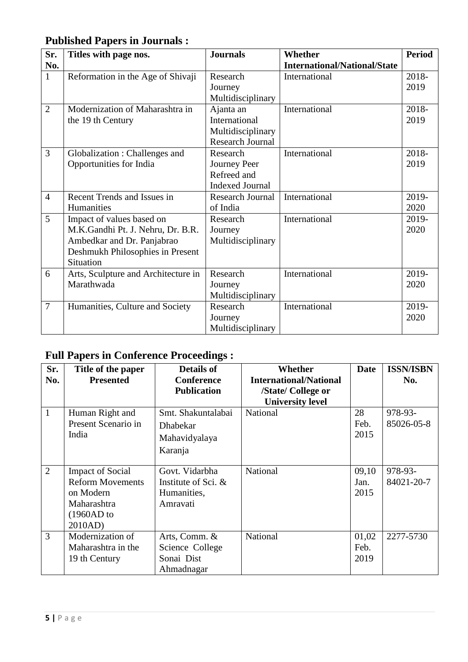#### **Published Papers in Journals :**

| Sr.            | Titles with page nos.               | <b>Journals</b>         | Whether                             | <b>Period</b> |
|----------------|-------------------------------------|-------------------------|-------------------------------------|---------------|
| No.            |                                     |                         | <b>International/National/State</b> |               |
| $\mathbf{1}$   | Reformation in the Age of Shivaji   | Research                | International                       | 2018-         |
|                |                                     | Journey                 |                                     | 2019          |
|                |                                     | Multidisciplinary       |                                     |               |
| $\overline{2}$ | Modernization of Maharashtra in     | Ajanta an               | International                       | 2018-         |
|                | the 19 th Century                   | International           |                                     | 2019          |
|                |                                     | Multidisciplinary       |                                     |               |
|                |                                     | <b>Research Journal</b> |                                     |               |
| $\overline{3}$ | Globalization: Challenges and       | Research                | International                       | 2018-         |
|                | Opportunities for India             | Journey Peer            |                                     | 2019          |
|                |                                     | Refreed and             |                                     |               |
|                |                                     | <b>Indexed Journal</b>  |                                     |               |
| $\overline{4}$ | Recent Trends and Issues in         | <b>Research Journal</b> | International                       | 2019-         |
|                | Humanities                          | of India                |                                     | 2020          |
| 5              | Impact of values based on           | Research                | International                       | 2019-         |
|                | M.K.Gandhi Pt. J. Nehru, Dr. B.R.   | Journey                 |                                     | 2020          |
|                | Ambedkar and Dr. Panjabrao          | Multidisciplinary       |                                     |               |
|                | Deshmukh Philosophies in Present    |                         |                                     |               |
|                | Situation                           |                         |                                     |               |
| 6              | Arts, Sculpture and Architecture in | Research                | International                       | 2019-         |
|                | Marathwada                          | Journey                 |                                     | 2020          |
|                |                                     | Multidisciplinary       |                                     |               |
| $\overline{7}$ | Humanities, Culture and Society     | Research                | International                       | 2019-         |
|                |                                     | Journey                 |                                     | 2020          |
|                |                                     | Multidisciplinary       |                                     |               |

#### **Full Papers in Conference Proceedings :**

| Sr.            | Title of the paper      | Details of            | Whether                       | Date  | <b>ISSN/ISBN</b> |
|----------------|-------------------------|-----------------------|-------------------------------|-------|------------------|
| No.            | <b>Presented</b>        | <b>Conference</b>     | <b>International/National</b> |       | No.              |
|                |                         | <b>Publication</b>    | /State/ College or            |       |                  |
|                |                         |                       | <b>University level</b>       |       |                  |
| $\mathbf{1}$   | Human Right and         | Smt. Shakuntalabai    | National                      | 28    | 978-93-          |
|                | Present Scenario in     | <b>Dhabekar</b>       |                               | Feb.  | 85026-05-8       |
|                | India                   | Mahavidyalaya         |                               | 2015  |                  |
|                |                         | Karanja               |                               |       |                  |
|                |                         |                       |                               |       |                  |
| $\overline{2}$ | <b>Impact of Social</b> | Govt. Vidarbha        | National                      | 09,10 | 978-93-          |
|                | <b>Reform Movements</b> | Institute of Sci. $&$ |                               | Jan.  | 84021-20-7       |
|                | on Modern               | Humanities,           |                               | 2015  |                  |
|                | Maharashtra             | Amravati              |                               |       |                  |
|                | $(1960AD)$ to           |                       |                               |       |                  |
|                | 2010AD)                 |                       |                               |       |                  |
| 3              | Modernization of        | Arts, Comm. &         | National                      | 01,02 | 2277-5730        |
|                | Maharashtra in the      | Science College       |                               | Feb.  |                  |
|                | 19 th Century           | Sonai Dist            |                               | 2019  |                  |
|                |                         | Ahmadnagar            |                               |       |                  |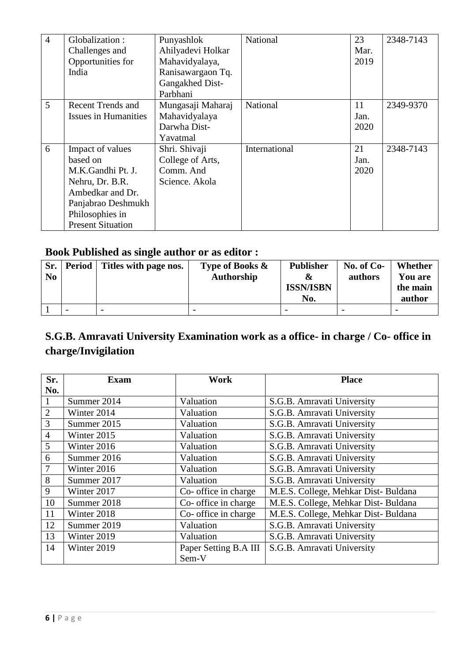| $\overline{4}$ | Globalization:              | Punyashlok        | National      | 23   | 2348-7143 |
|----------------|-----------------------------|-------------------|---------------|------|-----------|
|                | Challenges and              | Ahilyadevi Holkar |               | Mar. |           |
|                | Opportunities for           | Mahavidyalaya,    |               | 2019 |           |
|                | India                       | Ranisawargaon Tq. |               |      |           |
|                |                             | Gangakhed Dist-   |               |      |           |
|                |                             | Parbhani          |               |      |           |
| 5              | Recent Trends and           | Mungasaji Maharaj | National      | 11   | 2349-9370 |
|                | <b>Issues in Humanities</b> | Mahavidyalaya     |               | Jan. |           |
|                |                             | Darwha Dist-      |               | 2020 |           |
|                |                             | Yavatmal          |               |      |           |
| 6              | Impact of values            | Shri. Shivaji     | International | 21   | 2348-7143 |
|                | based on                    | College of Arts,  |               | Jan. |           |
|                | M.K.Gandhi Pt. J.           | Comm. And         |               | 2020 |           |
|                | Nehru, Dr. B.R.             | Science. Akola    |               |      |           |
|                | Ambedkar and Dr.            |                   |               |      |           |
|                | Panjabrao Deshmukh          |                   |               |      |           |
|                | Philosophies in             |                   |               |      |           |
|                | <b>Present Situation</b>    |                   |               |      |           |

#### **Book Published as single author or as editor :**

| Sr.<br>No | Period                   | Titles with page nos.    | Type of Books $\&$<br>Authorship | <b>Publisher</b><br>$\boldsymbol{\alpha}$<br><b>ISSN/ISBN</b><br>No. | No. of $Co-$<br>authors | Whether<br><b>You are</b><br>the main<br>author |
|-----------|--------------------------|--------------------------|----------------------------------|----------------------------------------------------------------------|-------------------------|-------------------------------------------------|
|           | $\overline{\phantom{0}}$ | $\overline{\phantom{0}}$ | -                                | $\overline{\phantom{0}}$                                             | -                       | $\overline{\phantom{0}}$                        |

#### **S.G.B. Amravati University Examination work as a office- in charge / Co- office in charge/Invigilation**

| Sr.            | Exam        | Work                  | <b>Place</b>                         |
|----------------|-------------|-----------------------|--------------------------------------|
| No.            |             |                       |                                      |
| $\mathbf{1}$   | Summer 2014 | Valuation             | S.G.B. Amravati University           |
| $\mathbf{2}$   | Winter 2014 | Valuation             | S.G.B. Amravati University           |
| $\overline{3}$ | Summer 2015 | Valuation             | S.G.B. Amravati University           |
| $\overline{4}$ | Winter 2015 | Valuation             | S.G.B. Amravati University           |
| 5              | Winter 2016 | Valuation             | S.G.B. Amravati University           |
| 6              | Summer 2016 | Valuation             | S.G.B. Amravati University           |
| 7              | Winter 2016 | Valuation             | S.G.B. Amravati University           |
| 8              | Summer 2017 | Valuation             | S.G.B. Amravati University           |
| 9              | Winter 2017 | Co- office in charge  | M.E.S. College, Mehkar Dist- Buldana |
| 10             | Summer 2018 | Co- office in charge  | M.E.S. College, Mehkar Dist- Buldana |
| 11             | Winter 2018 | Co- office in charge  | M.E.S. College, Mehkar Dist-Buldana  |
| 12             | Summer 2019 | Valuation             | S.G.B. Amravati University           |
| 13             | Winter 2019 | Valuation             | S.G.B. Amravati University           |
| 14             | Winter 2019 | Paper Setting B.A III | S.G.B. Amravati University           |
|                |             | Sem-V                 |                                      |